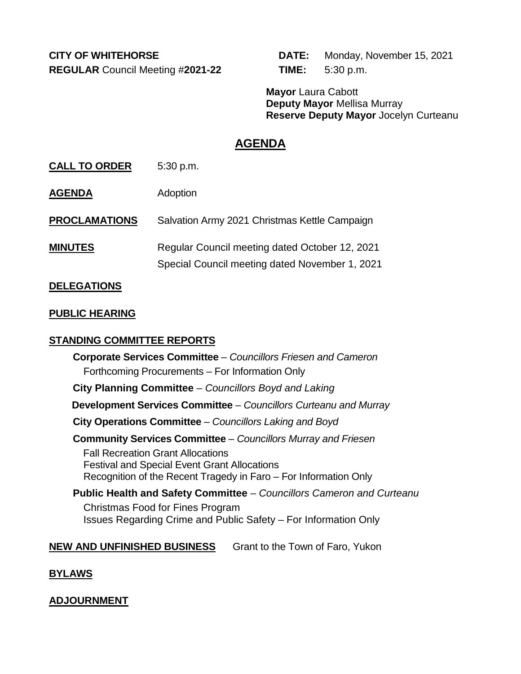**REGULAR** Council Meeting #**2021-22 TIME:** 5:30 p.m.

**CITY OF WHITEHORSE DATE:** Monday, November 15, 2021

**Mayor** Laura Cabott **Deputy Mayor** Mellisa Murray **Reserve Deputy Mayor** Jocelyn Curteanu

## **AGENDA**

**CALL TO ORDER** 5:30 p.m.

**AGENDA** Adoption

**PROCLAMATIONS** Salvation Army 2021 Christmas Kettle Campaign

**MINUTES** Regular Council meeting dated October 12, 2021 Special Council meeting dated November 1, 2021

## **DELEGATIONS**

## **PUBLIC HEARING**

## **STANDING COMMITTEE REPORTS**

**Corporate Services Committee** – *Councillors Friesen and Cameron* Forthcoming Procurements – For Information Only **City Planning Committee** – *Councillors Boyd and Laking* **Development Services Committee** – *Councillors Curteanu and Murray* **City Operations Committee** – *Councillors Laking and Boyd* **Community Services Committee** – *Councillors Murray and Friesen* Fall Recreation Grant Allocations Festival and Special Event Grant Allocations Recognition of the Recent Tragedy in Faro – For Information Only **Public Health and Safety Committee** – *Councillors Cameron and Curteanu* Christmas Food for Fines Program Issues Regarding Crime and Public Safety – For Information Only

## **NEW AND UNFINISHED BUSINESS** Grant to the Town of Faro, Yukon

## **BYLAWS**

**ADJOURNMENT**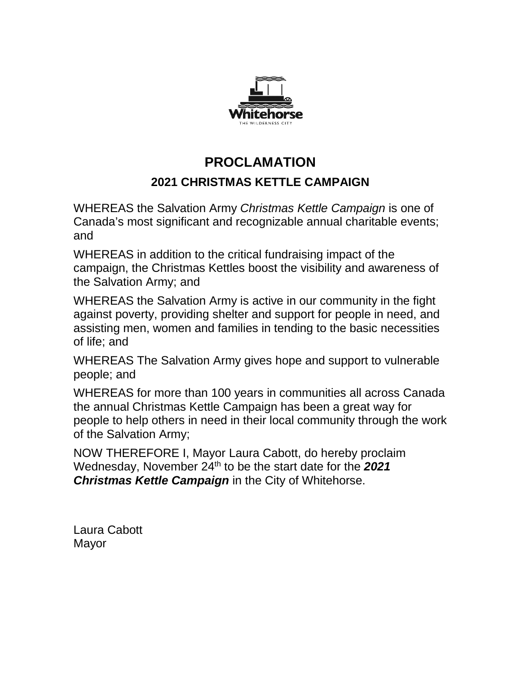

# **PROCLAMATION 2021 CHRISTMAS KETTLE CAMPAIGN**

WHEREAS the Salvation Army *Christmas Kettle Campaign* is one of Canada's most significant and recognizable annual charitable events; and

WHEREAS in addition to the critical fundraising impact of the campaign, the Christmas Kettles boost the visibility and awareness of the Salvation Army; and

WHEREAS the Salvation Army is active in our community in the fight against poverty, providing shelter and support for people in need, and assisting men, women and families in tending to the basic necessities of life; and

WHEREAS The Salvation Army gives hope and support to vulnerable people; and

WHEREAS for more than 100 years in communities all across Canada the annual Christmas Kettle Campaign has been a great way for people to help others in need in their local community through the work of the Salvation Army;

NOW THEREFORE I, Mayor Laura Cabott, do hereby proclaim Wednesday, November 24th to be the start date for the *2021 Christmas Kettle Campaign* in the City of Whitehorse.

Laura Cabott Mayor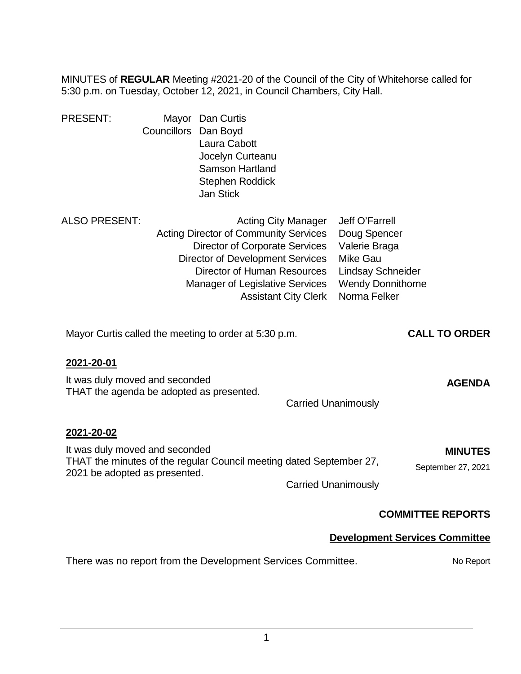MINUTES of **REGULAR** Meeting #2021-20 of the Council of the City of Whitehorse called for 5:30 p.m. on Tuesday, October 12, 2021, in Council Chambers, City Hall.

| <b>PRESENT:</b>                                                                          | Councillors | Mayor Dan Curtis<br>Dan Boyd<br>Laura Cabott<br>Jocelyn Curteanu<br><b>Samson Hartland</b><br>Stephen Roddick<br><b>Jan Stick</b>                                                                  |                                                           |                                                                                                                                            |                                       |
|------------------------------------------------------------------------------------------|-------------|----------------------------------------------------------------------------------------------------------------------------------------------------------------------------------------------------|-----------------------------------------------------------|--------------------------------------------------------------------------------------------------------------------------------------------|---------------------------------------|
| <b>ALSO PRESENT:</b>                                                                     |             | <b>Acting Director of Community Services</b><br><b>Director of Corporate Services</b><br><b>Director of Development Services</b><br>Director of Human Resources<br>Manager of Legislative Services | <b>Acting City Manager</b><br><b>Assistant City Clerk</b> | Jeff O'Farrell<br>Doug Spencer<br>Valerie Braga<br><b>Mike Gau</b><br><b>Lindsay Schneider</b><br><b>Wendy Donnithorne</b><br>Norma Felker |                                       |
|                                                                                          |             | Mayor Curtis called the meeting to order at 5:30 p.m.                                                                                                                                              |                                                           |                                                                                                                                            | <b>CALL TO ORDER</b>                  |
| 2021-20-01<br>It was duly moved and seconded<br>THAT the agenda be adopted as presented. |             |                                                                                                                                                                                                    |                                                           | <b>Carried Unanimously</b>                                                                                                                 | <b>AGENDA</b>                         |
| 2021-20-02<br>It was duly moved and seconded<br>2021 be adopted as presented.            |             | THAT the minutes of the regular Council meeting dated September 27,                                                                                                                                |                                                           | <b>Carried Unanimously</b>                                                                                                                 | <b>MINUTES</b><br>September 27, 2021  |
|                                                                                          |             |                                                                                                                                                                                                    |                                                           |                                                                                                                                            | <b>COMMITTEE REPORTS</b>              |
|                                                                                          |             |                                                                                                                                                                                                    |                                                           |                                                                                                                                            | <b>Development Services Committee</b> |

## There was no report from the Development Services Committee. No Report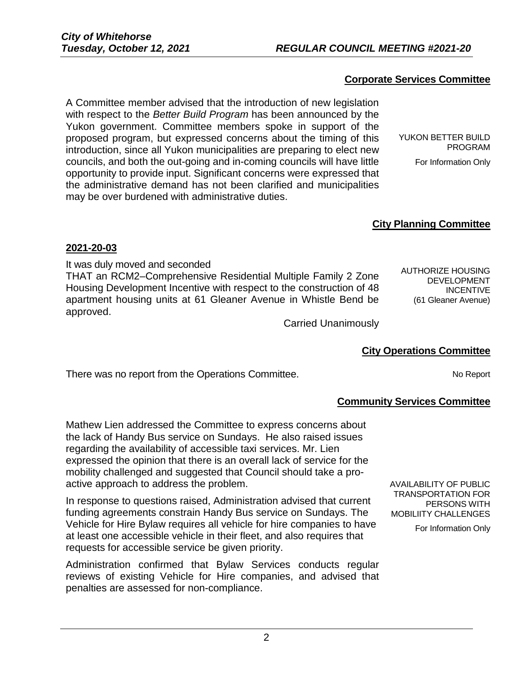#### **Corporate Services Committee**

A Committee member advised that the introduction of new legislation with respect to the *Better Build Program* has been announced by the Yukon government. Committee members spoke in support of the proposed program, but expressed concerns about the timing of this introduction, since all Yukon municipalities are preparing to elect new councils, and both the out-going and in-coming councils will have little opportunity to provide input. Significant concerns were expressed that the administrative demand has not been clarified and municipalities may be over burdened with administrative duties.

YUKON BETTER BUILD PROGRAM For Information Only

#### **City Planning Committee**

#### **2021-20-03**

It was duly moved and seconded THAT an RCM2–Comprehensive Residential Multiple Family 2 Zone Housing Development Incentive with respect to the construction of 48 apartment housing units at 61 Gleaner Avenue in Whistle Bend be approved.

AUTHORIZE HOUSING DEVELOPMENT INCENTIVE (61 Gleaner Avenue)

Carried Unanimously

#### **City Operations Committee**

There was no report from the Operations Committee. There was no report No Report

#### **Community Services Committee**

Mathew Lien addressed the Committee to express concerns about the lack of Handy Bus service on Sundays. He also raised issues regarding the availability of accessible taxi services. Mr. Lien expressed the opinion that there is an overall lack of service for the mobility challenged and suggested that Council should take a proactive approach to address the problem.

In response to questions raised, Administration advised that current funding agreements constrain Handy Bus service on Sundays. The Vehicle for Hire Bylaw requires all vehicle for hire companies to have at least one accessible vehicle in their fleet, and also requires that requests for accessible service be given priority.

Administration confirmed that Bylaw Services conducts regular reviews of existing Vehicle for Hire companies, and advised that penalties are assessed for non-compliance.

AVAILABILITY OF PUBLIC TRANSPORTATION FOR PERSONS WITH MOBILIITY CHALLENGES

For Information Only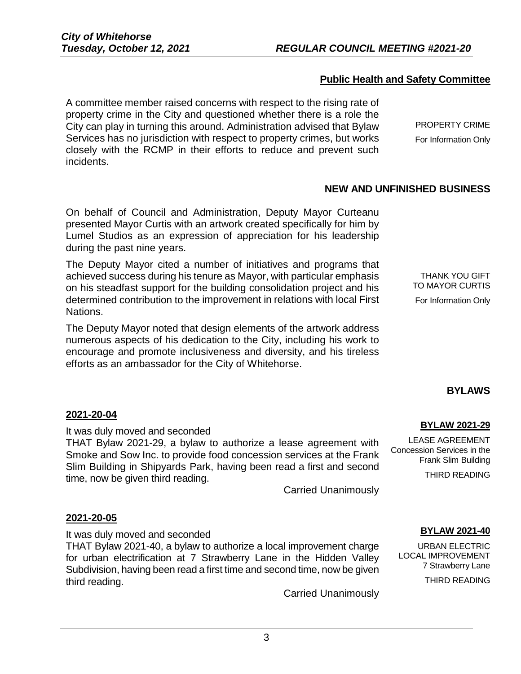#### **Public Health and Safety Committee**

A committee member raised concerns with respect to the rising rate of property crime in the City and questioned whether there is a role the City can play in turning this around. Administration advised that Bylaw Services has no jurisdiction with respect to property crimes, but works closely with the RCMP in their efforts to reduce and prevent such incidents.

PROPERTY CRIME For Information Only

#### **NEW AND UNFINISHED BUSINESS**

On behalf of Council and Administration, Deputy Mayor Curteanu presented Mayor Curtis with an artwork created specifically for him by Lumel Studios as an expression of appreciation for his leadership during the past nine years.

The Deputy Mayor cited a number of initiatives and programs that achieved success during his tenure as Mayor, with particular emphasis on his steadfast support for the building consolidation project and his determined contribution to the improvement in relations with local First Nations.

The Deputy Mayor noted that design elements of the artwork address numerous aspects of his dedication to the City, including his work to encourage and promote inclusiveness and diversity, and his tireless efforts as an ambassador for the City of Whitehorse.

THANK YOU GIFT TO MAYOR CURTIS For Information Only

#### **BYLAWS**

#### **2021-20-04**

It was duly moved and seconded

THAT Bylaw 2021-29, a bylaw to authorize a lease agreement with Smoke and Sow Inc. to provide food concession services at the Frank Slim Building in Shipyards Park, having been read a first and second time, now be given third reading.

Carried Unanimously

#### **2021-20-05**

It was duly moved and seconded

THAT Bylaw 2021-40, a bylaw to authorize a local improvement charge for urban electrification at 7 Strawberry Lane in the Hidden Valley Subdivision, having been read a first time and second time, now be given third reading.

Carried Unanimously

## **BYLAW 2021-29**

LEASE AGREEMENT Concession Services in the Frank Slim Building

THIRD READING

#### **BYLAW 2021-40**

URBAN ELECTRIC LOCAL IMPROVEMENT 7 Strawberry Lane

THIRD READING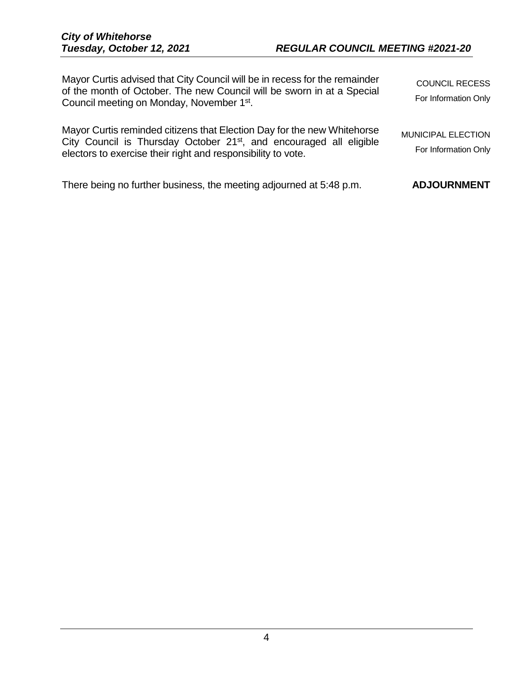| Mayor Curtis advised that City Council will be in recess for the remainder<br>of the month of October. The new Council will be sworn in at a Special<br>Council meeting on Monday, November 1 <sup>st</sup> .              | <b>COUNCIL RECESS</b><br>For Information Only     |
|----------------------------------------------------------------------------------------------------------------------------------------------------------------------------------------------------------------------------|---------------------------------------------------|
| Mayor Curtis reminded citizens that Election Day for the new Whitehorse<br>City Council is Thursday October 21 <sup>st</sup> , and encouraged all eligible<br>electors to exercise their right and responsibility to vote. | <b>MUNICIPAL ELECTION</b><br>For Information Only |
| There being no further business, the meeting adjourned at 5:48 p.m.                                                                                                                                                        | <b>ADJOURNMENT</b>                                |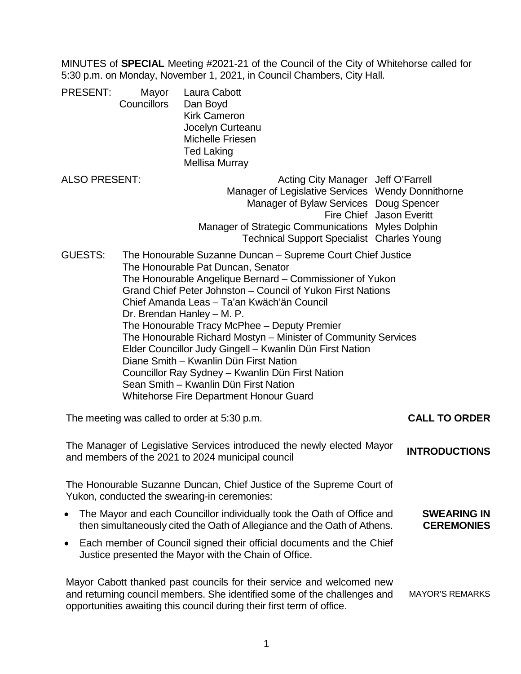MINUTES of **SPECIAL** Meeting #2021-21 of the Council of the City of Whitehorse called for 5:30 p.m. on Monday, November 1, 2021, in Council Chambers, City Hall.

PRESENT: Mayor Laura Cabott Councillors Dan Boyd Kirk Cameron Jocelyn Curteanu Michelle Friesen Ted Laking Mellisa Murray

- ALSO PRESENT: ALSO PRESENT: Manager of Legislative Services Wendy Donnithorne Manager of Bylaw Services Doug Spencer Fire Chief Jason Everitt Manager of Strategic Communications Myles Dolphin Technical Support Specialist Charles Young
- GUESTS: The Honourable Suzanne Duncan Supreme Court Chief Justice The Honourable Pat Duncan, Senator The Honourable Angelique Bernard – Commissioner of Yukon Grand Chief Peter Johnston – Council of Yukon First Nations Chief Amanda Leas – Ta'an Kwäch'än Council Dr. Brendan Hanley – M. P. The Honourable Tracy McPhee – Deputy Premier The Honourable Richard Mostyn – Minister of Community Services Elder Councillor Judy Gingell – Kwanlin Dün First Nation Diane Smith – Kwanlin Dün First Nation Councillor Ray Sydney – Kwanlin Dün First Nation Sean Smith – Kwanlin Dün First Nation Whitehorse Fire Department Honour Guard

The meeting was called to order at 5:30 p.m. **CALL TO ORDER**

The Manager of Legislative Services introduced the newly elected Mayor and members of the 2021 to 2024 municipal council **INTRODUCTIONS**

The Honourable Suzanne Duncan, Chief Justice of the Supreme Court of Yukon, conducted the swearing-in ceremonies:

- The Mayor and each Councillor individually took the Oath of Office and then simultaneously cited the Oath of Allegiance and the Oath of Athens. **SWEARING IN CEREMONIES**
- Each member of Council signed their official documents and the Chief Justice presented the Mayor with the Chain of Office.

Mayor Cabott thanked past councils for their service and welcomed new and returning council members. She identified some of the challenges and opportunities awaiting this council during their first term of office. MAYOR'S REMARKS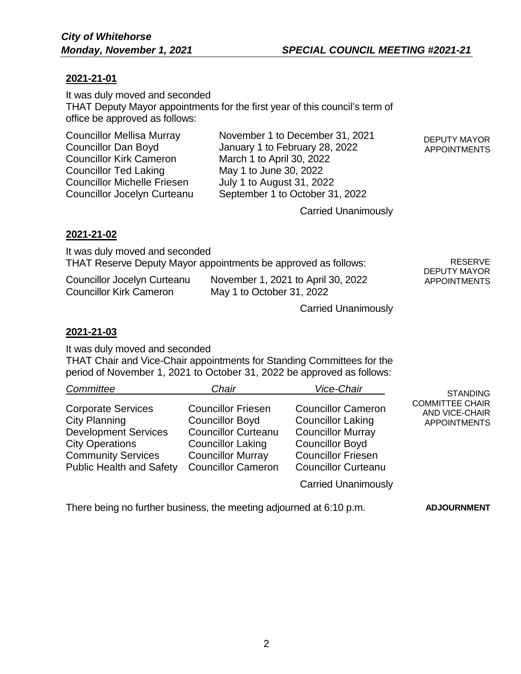#### **2021-21-01**

It was duly moved and seconded THAT Deputy Mayor appointments for the first year of this council's term of office be approved as follows:

Councillor Kirk Cameron March 1 to April 30, 2022<br>Councillor Ted Laking May 1 to June 30, 2022 Councillor Michelle Friesen July 1 to August 31, 2022

Councillor Mellisa Murray November 1 to December 31, 2021 Councillor Dan Boyd January 1 to February 28, 2022 May 1 to June 30, 2022 Councillor Jocelyn Curteanu September 1 to October 31, 2022

DEPUTY MAYOR APPOINTMENTS

Carried Unanimously

#### **2021-21-02**

It was duly moved and seconded THAT Reserve Deputy Mayor appointments be approved as follows: Councillor Jocelyn Curteanu November 1, 2021 to April 30, 2022 Councillor Kirk Cameron May 1 to October 31, 2022 RESERVE DEPUTY MAYOR APPOINTMENTS

Carried Unanimously

**2021-21-03**

It was duly moved and seconded

THAT Chair and Vice-Chair appointments for Standing Committees for the period of November 1, 2021 to October 31, 2022 be approved as follows:

| Committee                                                                                                                                                                  | Chair                                                                                                                                                                  | Vice-Chair                                                                                                                                                             | <b>STANDING</b>                                                 |
|----------------------------------------------------------------------------------------------------------------------------------------------------------------------------|------------------------------------------------------------------------------------------------------------------------------------------------------------------------|------------------------------------------------------------------------------------------------------------------------------------------------------------------------|-----------------------------------------------------------------|
| <b>Corporate Services</b><br><b>City Planning</b><br><b>Development Services</b><br><b>City Operations</b><br><b>Community Services</b><br><b>Public Health and Safety</b> | <b>Councillor Friesen</b><br><b>Councillor Boyd</b><br><b>Councillor Curteanu</b><br><b>Councillor Laking</b><br><b>Councillor Murray</b><br><b>Councillor Cameron</b> | <b>Councillor Cameron</b><br><b>Councillor Laking</b><br><b>Councillor Murray</b><br><b>Councillor Boyd</b><br><b>Councillor Friesen</b><br><b>Councillor Curteanu</b> | <b>COMMITTEE CHAIR</b><br>AND VICE-CHAIR<br><b>APPOINTMENTS</b> |
|                                                                                                                                                                            |                                                                                                                                                                        | <b>Carried Unanimously</b>                                                                                                                                             |                                                                 |

There being no further business, the meeting adjourned at 6:10 p.m. **ADJOURNMENT**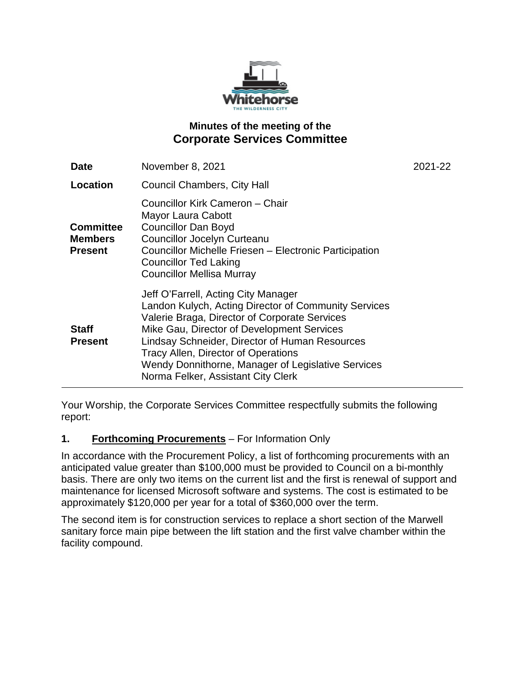

## **Minutes of the meeting of the Corporate Services Committee**

| Date                                                 | November 8, 2021                                                                                                                                                                                                                                                                                                                                                                | 2021-22 |
|------------------------------------------------------|---------------------------------------------------------------------------------------------------------------------------------------------------------------------------------------------------------------------------------------------------------------------------------------------------------------------------------------------------------------------------------|---------|
| Location                                             | <b>Council Chambers, City Hall</b>                                                                                                                                                                                                                                                                                                                                              |         |
| <b>Committee</b><br><b>Members</b><br><b>Present</b> | Councillor Kirk Cameron - Chair<br>Mayor Laura Cabott<br><b>Councillor Dan Boyd</b><br><b>Councillor Jocelyn Curteanu</b><br>Councillor Michelle Friesen - Electronic Participation<br><b>Councillor Ted Laking</b><br><b>Councillor Mellisa Murray</b>                                                                                                                         |         |
| <b>Staff</b><br><b>Present</b>                       | Jeff O'Farrell, Acting City Manager<br>Landon Kulych, Acting Director of Community Services<br>Valerie Braga, Director of Corporate Services<br>Mike Gau, Director of Development Services<br>Lindsay Schneider, Director of Human Resources<br>Tracy Allen, Director of Operations<br>Wendy Donnithorne, Manager of Legislative Services<br>Norma Felker, Assistant City Clerk |         |

Your Worship, the Corporate Services Committee respectfully submits the following report:

## **1. Forthcoming Procurements** – For Information Only

In accordance with the Procurement Policy, a list of forthcoming procurements with an anticipated value greater than \$100,000 must be provided to Council on a bi-monthly basis. There are only two items on the current list and the first is renewal of support and maintenance for licensed Microsoft software and systems. The cost is estimated to be approximately \$120,000 per year for a total of \$360,000 over the term.

The second item is for construction services to replace a short section of the Marwell sanitary force main pipe between the lift station and the first valve chamber within the facility compound.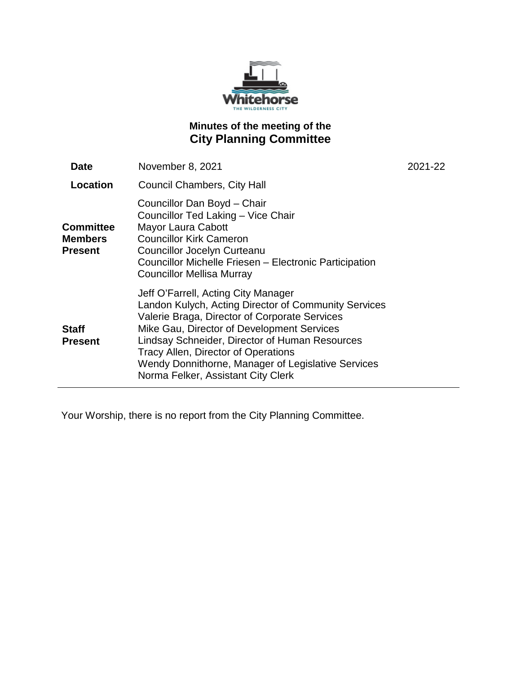

## **Minutes of the meeting of the City Planning Committee**

| Date                                                 | November 8, 2021                                                                                                                                                                                                                                                                                                                                                                | 2021-22 |
|------------------------------------------------------|---------------------------------------------------------------------------------------------------------------------------------------------------------------------------------------------------------------------------------------------------------------------------------------------------------------------------------------------------------------------------------|---------|
| Location                                             | <b>Council Chambers, City Hall</b>                                                                                                                                                                                                                                                                                                                                              |         |
| <b>Committee</b><br><b>Members</b><br><b>Present</b> | Councillor Dan Boyd - Chair<br>Councillor Ted Laking - Vice Chair<br>Mayor Laura Cabott<br><b>Councillor Kirk Cameron</b><br><b>Councillor Jocelyn Curteanu</b><br>Councillor Michelle Friesen - Electronic Participation<br><b>Councillor Mellisa Murray</b>                                                                                                                   |         |
| <b>Staff</b><br><b>Present</b>                       | Jeff O'Farrell, Acting City Manager<br>Landon Kulych, Acting Director of Community Services<br>Valerie Braga, Director of Corporate Services<br>Mike Gau, Director of Development Services<br>Lindsay Schneider, Director of Human Resources<br>Tracy Allen, Director of Operations<br>Wendy Donnithorne, Manager of Legislative Services<br>Norma Felker, Assistant City Clerk |         |

Your Worship, there is no report from the City Planning Committee.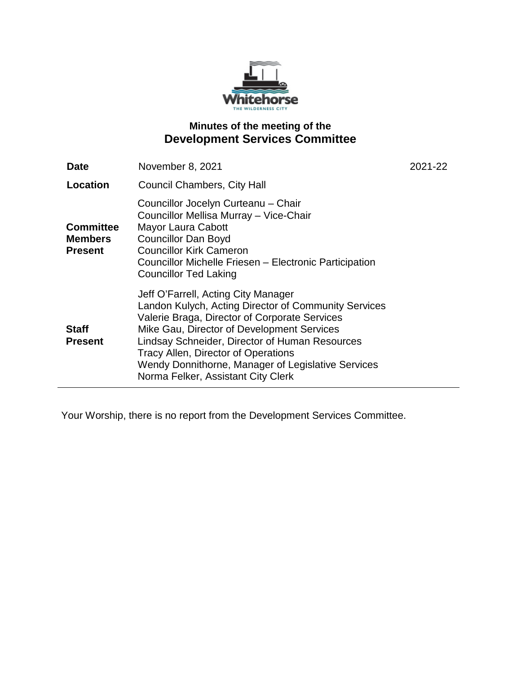

## **Minutes of the meeting of the Development Services Committee**

| <b>Date</b>                                          | November 8, 2021                                                                                                                                                                                                                                                                                                                                                                | 2021-22 |
|------------------------------------------------------|---------------------------------------------------------------------------------------------------------------------------------------------------------------------------------------------------------------------------------------------------------------------------------------------------------------------------------------------------------------------------------|---------|
| Location                                             | <b>Council Chambers, City Hall</b>                                                                                                                                                                                                                                                                                                                                              |         |
| <b>Committee</b><br><b>Members</b><br><b>Present</b> | Councillor Jocelyn Curteanu - Chair<br>Councillor Mellisa Murray - Vice-Chair<br>Mayor Laura Cabott<br><b>Councillor Dan Boyd</b><br><b>Councillor Kirk Cameron</b><br>Councillor Michelle Friesen - Electronic Participation<br><b>Councillor Ted Laking</b>                                                                                                                   |         |
| <b>Staff</b><br><b>Present</b>                       | Jeff O'Farrell, Acting City Manager<br>Landon Kulych, Acting Director of Community Services<br>Valerie Braga, Director of Corporate Services<br>Mike Gau, Director of Development Services<br>Lindsay Schneider, Director of Human Resources<br>Tracy Allen, Director of Operations<br>Wendy Donnithorne, Manager of Legislative Services<br>Norma Felker, Assistant City Clerk |         |

Your Worship, there is no report from the Development Services Committee.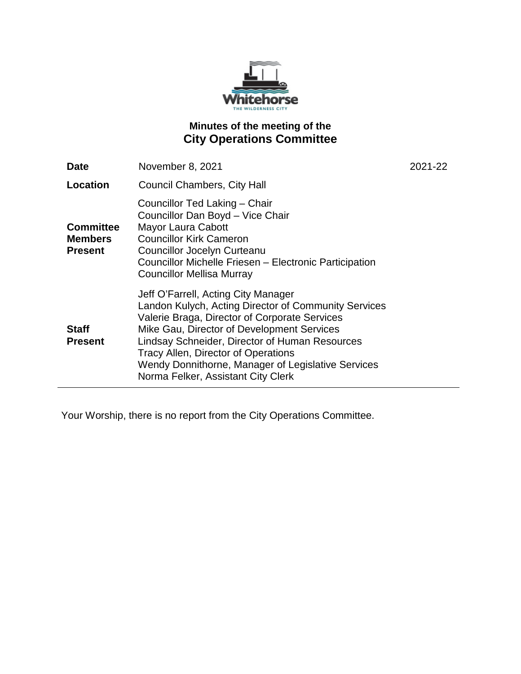

## **Minutes of the meeting of the City Operations Committee**

| <b>Date</b>                                          | November 8, 2021                                                                                                                                                                                                                                                                                                                                                                       | 2021-22 |
|------------------------------------------------------|----------------------------------------------------------------------------------------------------------------------------------------------------------------------------------------------------------------------------------------------------------------------------------------------------------------------------------------------------------------------------------------|---------|
| Location                                             | <b>Council Chambers, City Hall</b>                                                                                                                                                                                                                                                                                                                                                     |         |
| <b>Committee</b><br><b>Members</b><br><b>Present</b> | Councillor Ted Laking - Chair<br>Councillor Dan Boyd - Vice Chair<br>Mayor Laura Cabott<br><b>Councillor Kirk Cameron</b><br><b>Councillor Jocelyn Curteanu</b><br>Councillor Michelle Friesen - Electronic Participation<br><b>Councillor Mellisa Murray</b>                                                                                                                          |         |
| <b>Staff</b><br><b>Present</b>                       | Jeff O'Farrell, Acting City Manager<br>Landon Kulych, Acting Director of Community Services<br>Valerie Braga, Director of Corporate Services<br>Mike Gau, Director of Development Services<br>Lindsay Schneider, Director of Human Resources<br><b>Tracy Allen, Director of Operations</b><br>Wendy Donnithorne, Manager of Legislative Services<br>Norma Felker, Assistant City Clerk |         |

Your Worship, there is no report from the City Operations Committee.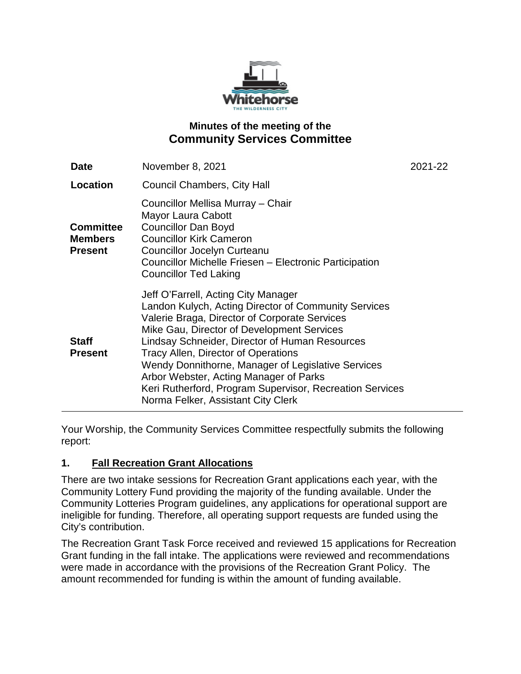

## **Minutes of the meeting of the Community Services Committee**

| <b>Date</b>                                          | November 8, 2021                                                                                                                                                                                                                                                                                                                                                                                                                                                                      | 2021-22 |
|------------------------------------------------------|---------------------------------------------------------------------------------------------------------------------------------------------------------------------------------------------------------------------------------------------------------------------------------------------------------------------------------------------------------------------------------------------------------------------------------------------------------------------------------------|---------|
| Location                                             | <b>Council Chambers, City Hall</b>                                                                                                                                                                                                                                                                                                                                                                                                                                                    |         |
| <b>Committee</b><br><b>Members</b><br><b>Present</b> | Councillor Mellisa Murray - Chair<br>Mayor Laura Cabott<br><b>Councillor Dan Boyd</b><br><b>Councillor Kirk Cameron</b><br><b>Councillor Jocelyn Curteanu</b><br>Councillor Michelle Friesen - Electronic Participation<br><b>Councillor Ted Laking</b>                                                                                                                                                                                                                               |         |
| <b>Staff</b><br><b>Present</b>                       | Jeff O'Farrell, Acting City Manager<br>Landon Kulych, Acting Director of Community Services<br>Valerie Braga, Director of Corporate Services<br>Mike Gau, Director of Development Services<br>Lindsay Schneider, Director of Human Resources<br>Tracy Allen, Director of Operations<br>Wendy Donnithorne, Manager of Legislative Services<br>Arbor Webster, Acting Manager of Parks<br>Keri Rutherford, Program Supervisor, Recreation Services<br>Norma Felker, Assistant City Clerk |         |

Your Worship, the Community Services Committee respectfully submits the following report:

## **1. Fall Recreation Grant Allocations**

There are two intake sessions for Recreation Grant applications each year, with the Community Lottery Fund providing the majority of the funding available. Under the Community Lotteries Program guidelines, any applications for operational support are ineligible for funding. Therefore, all operating support requests are funded using the City's contribution.

The Recreation Grant Task Force received and reviewed 15 applications for Recreation Grant funding in the fall intake. The applications were reviewed and recommendations were made in accordance with the provisions of the Recreation Grant Policy. The amount recommended for funding is within the amount of funding available.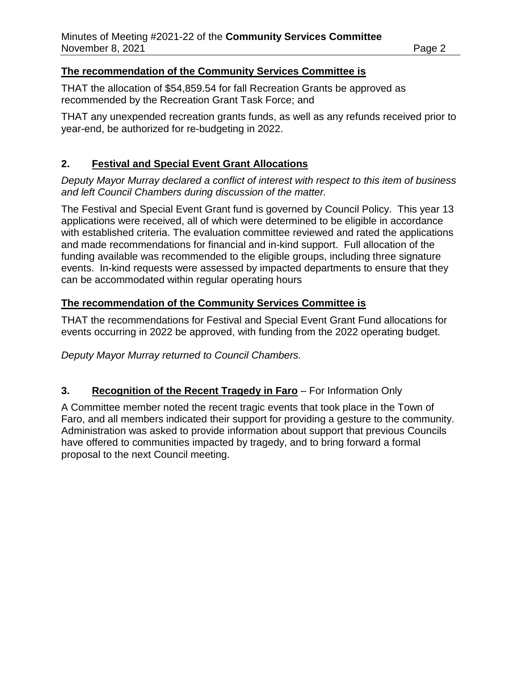### **The recommendation of the Community Services Committee is**

THAT the allocation of \$54,859.54 for fall Recreation Grants be approved as recommended by the Recreation Grant Task Force; and

THAT any unexpended recreation grants funds, as well as any refunds received prior to year-end, be authorized for re-budgeting in 2022.

## **2. Festival and Special Event Grant Allocations**

*Deputy Mayor Murray declared a conflict of interest with respect to this item of business and left Council Chambers during discussion of the matter.*

The Festival and Special Event Grant fund is governed by Council Policy. This year 13 applications were received, all of which were determined to be eligible in accordance with established criteria. The evaluation committee reviewed and rated the applications and made recommendations for financial and in-kind support. Full allocation of the funding available was recommended to the eligible groups, including three signature events. In-kind requests were assessed by impacted departments to ensure that they can be accommodated within regular operating hours

## **The recommendation of the Community Services Committee is**

THAT the recommendations for Festival and Special Event Grant Fund allocations for events occurring in 2022 be approved, with funding from the 2022 operating budget.

*Deputy Mayor Murray returned to Council Chambers.*

## **3. Recognition of the Recent Tragedy in Faro** – For Information Only

A Committee member noted the recent tragic events that took place in the Town of Faro, and all members indicated their support for providing a gesture to the community. Administration was asked to provide information about support that previous Councils have offered to communities impacted by tragedy, and to bring forward a formal proposal to the next Council meeting.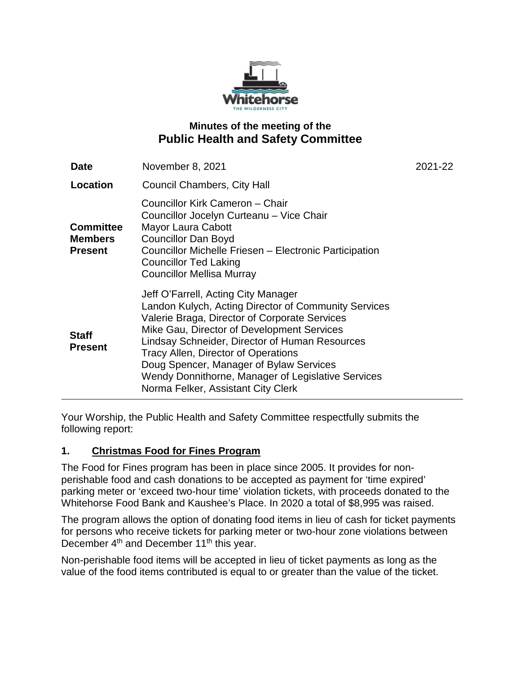

## **Minutes of the meeting of the Public Health and Safety Committee**

| <b>Date</b>                                          | November 8, 2021                                                                                                                                                                                                                                                                                                                                                                                                                  | 2021-22 |
|------------------------------------------------------|-----------------------------------------------------------------------------------------------------------------------------------------------------------------------------------------------------------------------------------------------------------------------------------------------------------------------------------------------------------------------------------------------------------------------------------|---------|
| Location                                             | <b>Council Chambers, City Hall</b>                                                                                                                                                                                                                                                                                                                                                                                                |         |
| <b>Committee</b><br><b>Members</b><br><b>Present</b> | Councillor Kirk Cameron - Chair<br>Councillor Jocelyn Curteanu - Vice Chair<br><b>Mayor Laura Cabott</b><br><b>Councillor Dan Boyd</b><br>Councillor Michelle Friesen - Electronic Participation<br><b>Councillor Ted Laking</b><br><b>Councillor Mellisa Murray</b>                                                                                                                                                              |         |
| <b>Staff</b><br><b>Present</b>                       | Jeff O'Farrell, Acting City Manager<br>Landon Kulych, Acting Director of Community Services<br>Valerie Braga, Director of Corporate Services<br>Mike Gau, Director of Development Services<br>Lindsay Schneider, Director of Human Resources<br><b>Tracy Allen, Director of Operations</b><br>Doug Spencer, Manager of Bylaw Services<br>Wendy Donnithorne, Manager of Legislative Services<br>Norma Felker, Assistant City Clerk |         |

Your Worship, the Public Health and Safety Committee respectfully submits the following report:

## **1. Christmas Food for Fines Program**

The Food for Fines program has been in place since 2005. It provides for nonperishable food and cash donations to be accepted as payment for 'time expired' parking meter or 'exceed two-hour time' violation tickets, with proceeds donated to the Whitehorse Food Bank and Kaushee's Place. In 2020 a total of \$8,995 was raised.

The program allows the option of donating food items in lieu of cash for ticket payments for persons who receive tickets for parking meter or two-hour zone violations between December 4<sup>th</sup> and December 11<sup>th</sup> this year.

Non-perishable food items will be accepted in lieu of ticket payments as long as the value of the food items contributed is equal to or greater than the value of the ticket.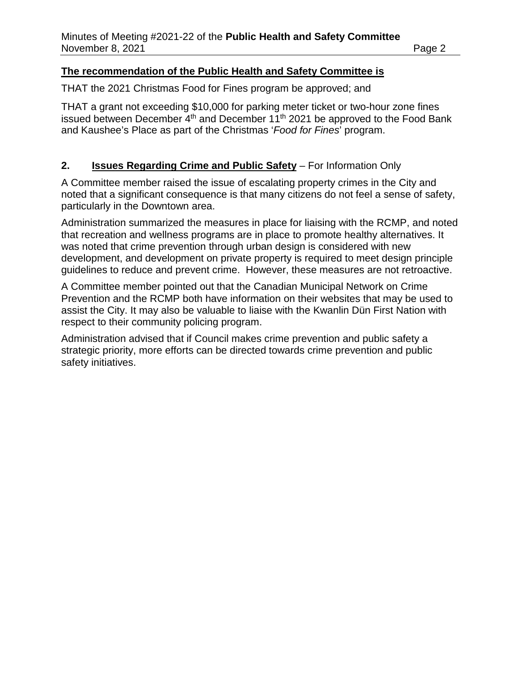#### **The recommendation of the Public Health and Safety Committee is**

THAT the 2021 Christmas Food for Fines program be approved; and

THAT a grant not exceeding \$10,000 for parking meter ticket or two-hour zone fines issued between December 4th and December 11th 2021 be approved to the Food Bank and Kaushee's Place as part of the Christmas '*Food for Fines*' program.

## **2. Issues Regarding Crime and Public Safety** – For Information Only

A Committee member raised the issue of escalating property crimes in the City and noted that a significant consequence is that many citizens do not feel a sense of safety, particularly in the Downtown area.

Administration summarized the measures in place for liaising with the RCMP, and noted that recreation and wellness programs are in place to promote healthy alternatives. It was noted that crime prevention through urban design is considered with new development, and development on private property is required to meet design principle guidelines to reduce and prevent crime. However, these measures are not retroactive.

A Committee member pointed out that the Canadian Municipal Network on Crime Prevention and the RCMP both have information on their websites that may be used to assist the City. It may also be valuable to liaise with the Kwanlin Dün First Nation with respect to their community policing program.

Administration advised that if Council makes crime prevention and public safety a strategic priority, more efforts can be directed towards crime prevention and public safety initiatives.